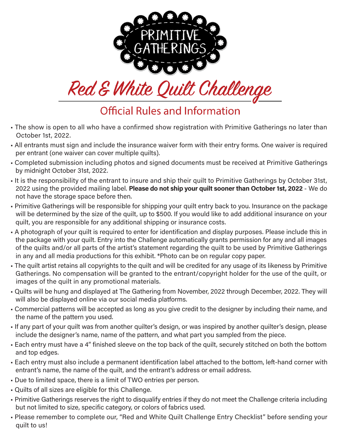



**Official Rules and Information** 

- The show is open to all who have a confirmed show registration with Primitive Gatherings no later than October 1st, 2022.
- All entrants must sign and include the insurance waiver form with their entry forms. One waiver is required per entrant (one waiver can cover multiple quilts).
- Completed submission including photos and signed documents must be received at Primitive Gatherings by midnight October 31st, 2022.
- It is the responsibility of the entrant to insure and ship their quilt to Primitive Gatherings by October 31st, 2022 using the provided mailing label. Please do not ship your quilt sooner than October 1st, 2022 - We do not have the storage space before then.
- Primitive Gatherings will be responsible for shipping your quilt entry back to you. Insurance on the package will be determined by the size of the quilt, up to \$500. If you would like to add additional insurance on your quilt, you are responsible for any additional shipping or insurance costs.
- A photograph of your quilt is required to enter for identification and display purposes. Please include this in the package with your quilt. Entry into the Challenge automatically grants permission for any and all images of the quilts and/or all parts of the artist's statement regarding the quilt to be used by Primitive Gatherings in any and all media productions for this exhibit. \*Photo can be on regular copy paper.
- The quilt artist retains all copyrights to the quilt and will be credited for any usage of its likeness by Primitive Gatherings. No compensation will be granted to the entrant/copyright holder for the use of the quilt, or images of the quilt in any promotional materials.
- Quilts will be hung and displayed at The Gathering from November, 2022 through December, 2022. They will will also be displayed online via our social media platforms.
- Commercial patterns will be accepted as long as you give credit to the designer by including their name, and the name of the pattern you used.
- If any part of your quilt was from another quilter's design, or was inspired by another quilter's design, please include the designer's name, name of the pattern, and what part you sampled from the piece.
- Each entry must have a 4" finished sleeve on the top back of the quilt, securely stitched on both the bottom and top edges.
- Each entry must also include a permanent identification label attached to the bottom, left-hand corner with entrant's name, the name of the quilt, and the entrant's address or email address.
- Due to limited space, there is a limit of TWO entries per person.
- Quilts of all sizes are eligible for this Challenge.
- Primitive Gatherings reserves the right to disqualify entries if they do not meet the Challenge criteria including but not limited to size, specific category, or colors of fabrics used.
- Please remember to complete our, "Red and White Quilt Challenge Entry Checklist" before sending your quilt to us!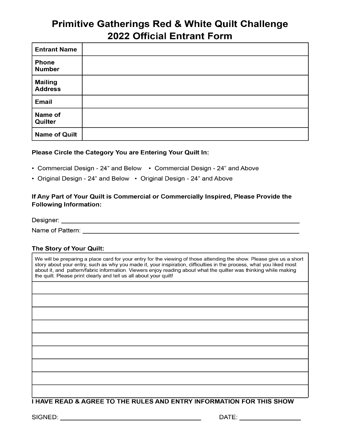## **Primitive Gatherings Red & White Quilt Challenge** 2022 Official Entrant Form

| <b>Entrant Name</b>              |  |
|----------------------------------|--|
| <b>Phone</b><br><b>Number</b>    |  |
| <b>Mailing</b><br><b>Address</b> |  |
| <b>Email</b>                     |  |
| Name of<br>Quilter               |  |
| <b>Name of Quilt</b>             |  |

#### Please Circle the Category You are Entering Your Quilt In:

- Commercial Design 24" and Below Commercial Design 24" and Above
- Original Design 24" and Below Original Design 24" and Above

#### If Any Part of Your Quilt is Commercial or Commercially Inspired, Please Provide the **Following Information:**

Designer: <u>www.community.community.community.com</u>

Name of Pattern: with a state of the state of the state of the state of the state of the state of the state of the state of the state of the state of the state of the state of the state of the state of the state of the sta

#### The Story of Your Quilt:

We will be preparing a place card for your entry for the viewing of those attending the show. Please give us a short story about your entry, such as why you made it, your inspiration, difficulties in the process, what you liked most about it, and pattern/fabric information. Viewers enjoy reading about what the quilter was thinking while making the quilt. Please print clearly and tell us all about your quilt!

#### **I HAVE READ & AGREE TO THE RULES AND ENTRY INFORMATION FOR THIS SHOW**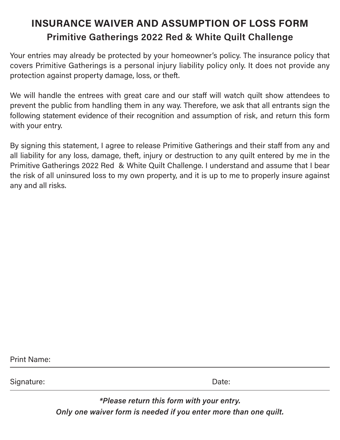# INSURANCE WAIVER AND ASSUMPTION OF LOSS FORM Primitive Gatherings 2022 Red & White Quilt Challenge

Your entries may already be protected by your homeowner's policy. The insurance policy that covers Primitive Gatherings is a personal injury liability policy only. It does not provide any protection against property damage, loss, or theft.

We will handle the entrees with great care and our staff will watch quilt show attendees to prevent the public from handling them in any way. Therefore, we ask that all entrants sign the following statement evidence of their recognition and assumption of risk, and return this form with your entry.

By signing this statement, I agree to release Primitive Gatherings and their staff from any and all liability for any loss, damage, theft, injury or destruction to any quilt entered by me in the Primitive Gatherings 2022 Red & White Quilt Challenge. I understand and assume that I bear the risk of all uninsured loss to my own property, and it is up to me to properly insure against any and all risks.

Print Name:

Signature: Date:

\*Please return this form with your entry. Only one waiver form is needed if you enter more than one quilt.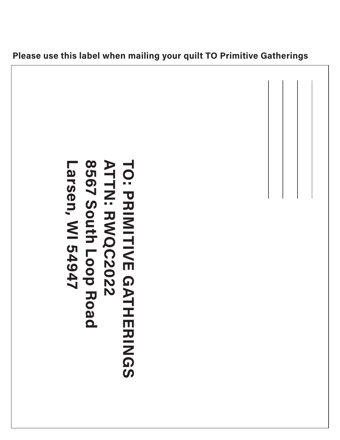

### Please use this label when mailing your quilt TO Primitive Gatherings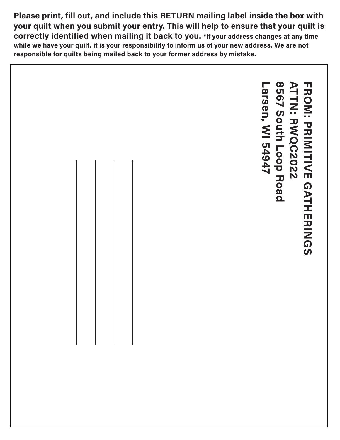Please print, fill out, and include this RETURN mailing label inside the box with your quilt when you submit your entry. This will help to ensure that your quilt is correctly identified when mailing it back to you. \*If your address changes at any time while we have your quilt, it is your responsibility to inform us of your new address. We are not responsible for quilts being mailed back to your former address by mistake.

8567 South Loop Road ATTN: RWQC2022 Larsen, WI 54947 **8567 South Loop Road ATTN: RWQC2022 FROM: PRIMITIVE GATHERINGS** FROM: PRIMITIVE GATHERINGS.arsen, WI 54947